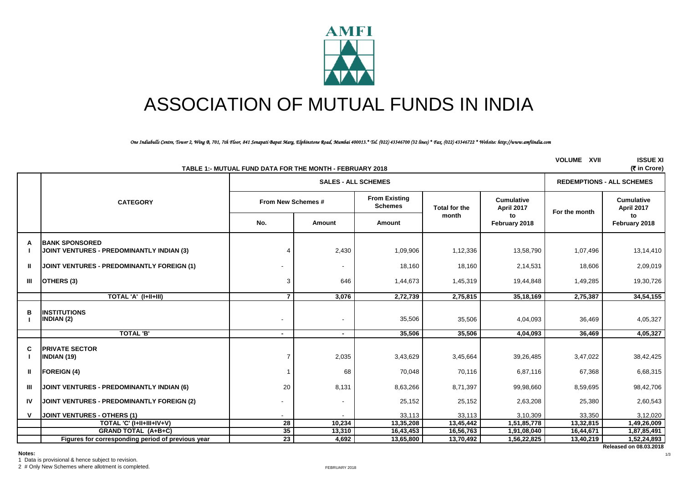

# ASSOCIATION OF MUTUAL FUNDS IN INDIA

*One Indiabulls Centre, Tower 2, Wing B, 701, 7th Floor, 841 Senapati Bapat Marg, Elphinstone Road, Mumbai 400013.\* Tel. (022) 43346700 (32 lines) \* Fax. (022) 43346722 \* Website: http://www.amfiindia.com*

|              |                                                                    | TABLE 1:- MUTUAL FUND DATA FOR THE MONTH - FEBRUARY 2018 |                            |                                        |                      |                                 | <b>VOLUME XVII</b> | <b>ISSUE XI</b><br>(₹ in Crore) |
|--------------|--------------------------------------------------------------------|----------------------------------------------------------|----------------------------|----------------------------------------|----------------------|---------------------------------|--------------------|---------------------------------|
|              |                                                                    |                                                          | <b>SALES - ALL SCHEMES</b> | <b>REDEMPTIONS - ALL SCHEMES</b>       |                      |                                 |                    |                                 |
|              | <b>CATEGORY</b>                                                    | From New Schemes #                                       |                            | <b>From Existing</b><br><b>Schemes</b> | <b>Total for the</b> | <b>Cumulative</b><br>April 2017 | For the month      | <b>Cumulative</b><br>April 2017 |
|              |                                                                    | No.                                                      | Amount                     | Amount                                 | month                | to<br>February 2018             |                    | to<br>February 2018             |
| A            | <b>BANK SPONSORED</b><br>JOINT VENTURES - PREDOMINANTLY INDIAN (3) |                                                          | 2,430                      | 1,09,906                               | 1,12,336             | 13,58,790                       | 1,07,496           | 13,14,410                       |
| Ш            | JOINT VENTURES - PREDOMINANTLY FOREIGN (1)                         |                                                          | $\overline{\phantom{a}}$   | 18,160                                 | 18,160               | 2,14,531                        | 18,606             | 2,09,019                        |
| Ш            | OTHERS (3)                                                         | 3                                                        | 646                        | 1,44,673                               | 1,45,319             | 19,44,848                       | 1,49,285           | 19,30,726                       |
|              | TOTAL 'A' (I+II+III)                                               | $\overline{7}$                                           | 3,076                      | 2,72,739                               | 2,75,815             | 35,18,169                       | 2,75,387           | 34,54,155                       |
| в            | <b>INSTITUTIONS</b><br><b>INDIAN (2)</b>                           | ۰                                                        | $\overline{\phantom{a}}$   | 35,506                                 | 35,506               | 4,04,093                        | 36,469             | 4,05,327                        |
|              | <b>TOTAL 'B'</b>                                                   | $\sim$                                                   | $\sim$                     | 35,506                                 | 35,506               | 4,04,093                        | 36,469             | 4,05,327                        |
| C            | <b>PRIVATE SECTOR</b><br><b>INDIAN (19)</b>                        |                                                          | 2,035                      | 3,43,629                               | 3,45,664             | 39,26,485                       | 3,47,022           | 38,42,425                       |
| Ш            | <b>FOREIGN (4)</b>                                                 |                                                          | 68                         | 70,048                                 | 70,116               | 6,87,116                        | 67,368             | 6,68,315                        |
| Ш            | JOINT VENTURES - PREDOMINANTLY INDIAN (6)                          | 20                                                       | 8,131                      | 8,63,266                               | 8,71,397             | 99,98,660                       | 8,59,695           | 98,42,706                       |
| IV           | JOINT VENTURES - PREDOMINANTLY FOREIGN (2)                         |                                                          | $\overline{\phantom{a}}$   | 25,152                                 | 25,152               | 2,63,208                        | 25,380             | 2,60,543                        |
| $\mathbf{v}$ | <b>JOINT VENTURES - OTHERS (1)</b>                                 |                                                          |                            | 33,113                                 | 33,113               | 3,10,309                        | 33,350             | 3,12,020                        |
|              | TOTAL 'C' (I+II+III+IV+V)                                          | $\overline{28}$                                          | 10,234                     | 13,35,208                              | 13,45,442            | 1,51,85,778                     | 13,32,815          | 1,49,26,009                     |
|              | <b>GRAND TOTAL (A+B+C)</b>                                         | 35                                                       | 13,310                     | 16,43,453                              | 16,56,763            | 1,91,08,040                     | 16,44,671          | 1,87,85,491                     |
|              | Figures for corresponding period of previous year                  | 23                                                       | 4,692                      | 13,65,800                              | 13,70,492            | 1,56,22,825                     | 13,40,219          | 1,52,24,893                     |

1 Data is provisional & hence subject to revision.

2 # Only New Schemes where allotment is completed.

**Released on 08.03.2018**

1/3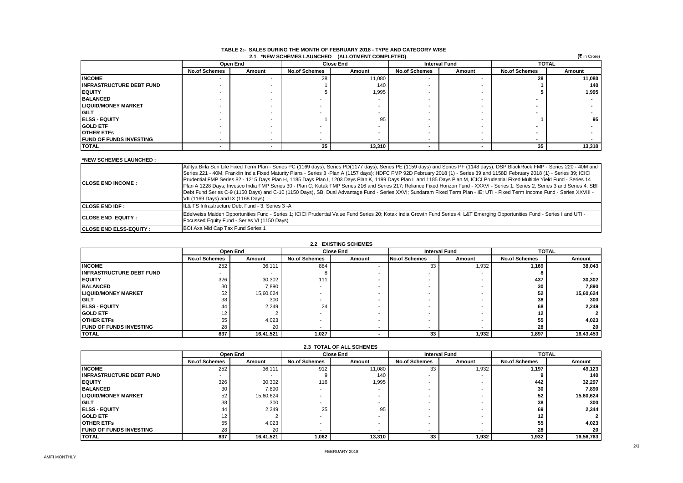| (₹ in Crore)<br>2.1 *NEW SCHEMES LAUNCHED (ALLOTMENT COMPLETED) |                      |          |                      |                  |                      |                      |                      |        |  |
|-----------------------------------------------------------------|----------------------|----------|----------------------|------------------|----------------------|----------------------|----------------------|--------|--|
|                                                                 |                      | Open End |                      | <b>Close End</b> |                      | <b>Interval Fund</b> | <b>TOTAL</b>         |        |  |
|                                                                 | <b>No.of Schemes</b> | Amount   | <b>No.of Schemes</b> | Amount           | <b>No.of Schemes</b> | Amount               | <b>No.of Schemes</b> | Amount |  |
| <b>INCOME</b>                                                   |                      |          | 28                   | 11,080           |                      |                      | 28                   | 11,080 |  |
| <b>IINFRASTRUCTURE DEBT FUND</b>                                |                      |          |                      | 140              |                      |                      |                      | 140    |  |
| <b>EQUITY</b>                                                   |                      |          |                      | 1,995            |                      |                      |                      | 1,995  |  |
| <b>BALANCED</b>                                                 |                      |          |                      |                  |                      |                      |                      |        |  |
| <b>ILIQUID/MONEY MARKET</b>                                     |                      |          |                      |                  |                      |                      |                      |        |  |
| <b>IGILT</b>                                                    |                      |          |                      |                  |                      |                      |                      |        |  |
| <b>IELSS - EQUITY</b>                                           |                      |          |                      | 95               |                      |                      |                      | 95     |  |
| <b>GOLD ETF</b>                                                 |                      |          |                      |                  |                      |                      |                      |        |  |
| <b>IOTHER ETFS</b>                                              |                      |          |                      |                  |                      |                      |                      |        |  |
| <b>IFUND OF FUNDS INVESTING</b>                                 |                      |          | -                    |                  |                      |                      |                      |        |  |
| <b>TOTAL</b>                                                    |                      |          | 35                   | 13,310           |                      | -                    | 35                   | 13,310 |  |

#### **TABLE 2:- SALES DURING THE MONTH OF FEBRUARY 2018 - TYPE AND CATEGORY WISE 2.1 \*NEW SCHEMES LAUNCHED (ALLOTMENT COMPLETED)**

#### **\*NEW SCHEMES LAUNCHED :**

| <b>ICLOSE END INCOME:</b>      | Aditya Birla Sun Life Fixed Term Plan - Series PC (1169 days), Series PD(1177 days), Series PE (1159 days) and Series PF (1148 days); DSP BlackRock FMP - Series 220 - 40M and<br>Series 221 - 40M; Franklin India Fixed Maturity Plans - Series 3 -Plan A (1157 days); HDFC FMP 92D February 2018 (1) - Series 39 and 1158D February 2018 (1) - Series 39; ICICI<br>Prudential FMP Series 82 - 1215 Days Plan H, 1185 Days Plan I, 1203 Days Plan K, 1199 Days Plan L and 1185 Days Plan M, ICICI Prudential Fixed Multiple Yield Fund - Series 14<br>Plan A 1228 Days; Invesco India FMP Series 30 - Plan C; Kotak FMP Series 216 and Series 217; Reliance Fixed Horizon Fund - XXXVI - Series 1, Series 2, Series 3 and Series 4; SBI<br>Debt Fund Series C-9 (1150 Days) and C-10 (1150 Days), SBI Dual Advantage Fund - Series XXVI; Sundaram Fixed Term Plan - IE; UTI - Fixed Term Income Fund - Series XXVIII -<br>VII (1169 Days) and IX (1168 Days) |
|--------------------------------|---------------------------------------------------------------------------------------------------------------------------------------------------------------------------------------------------------------------------------------------------------------------------------------------------------------------------------------------------------------------------------------------------------------------------------------------------------------------------------------------------------------------------------------------------------------------------------------------------------------------------------------------------------------------------------------------------------------------------------------------------------------------------------------------------------------------------------------------------------------------------------------------------------------------------------------------------------------|
| <b>ICLOSE END IDF:</b>         | IL& FS Infrastructure Debt Fund - 3, Series 3 -A                                                                                                                                                                                                                                                                                                                                                                                                                                                                                                                                                                                                                                                                                                                                                                                                                                                                                                              |
| <b>ICLOSE END EQUITY:</b>      | Edelweiss Maiden Opportunities Fund - Series 1; ICICI Prudential Value Fund Series 20; Kotak India Growth Fund Series 4; L&T Emerging Opportunities Fund - Series I and UTI -<br>Focussed Equity Fund - Series VI (1150 Days)                                                                                                                                                                                                                                                                                                                                                                                                                                                                                                                                                                                                                                                                                                                                 |
| <b>CLOSE END ELSS-EQUITY :</b> | BOI Axa Mid Cap Tax Fund Series 1                                                                                                                                                                                                                                                                                                                                                                                                                                                                                                                                                                                                                                                                                                                                                                                                                                                                                                                             |

| <b>2.2 EXISTING SCHEMES</b>     |                      |           |                          |                  |                      |                      |                      |           |  |
|---------------------------------|----------------------|-----------|--------------------------|------------------|----------------------|----------------------|----------------------|-----------|--|
|                                 |                      | Open End  |                          | <b>Close End</b> |                      | <b>Interval Fund</b> | <b>TOTAL</b>         |           |  |
|                                 | <b>No.of Schemes</b> | Amount    | <b>No.of Schemes</b>     | Amount           | <b>No.of Schemes</b> | Amount               | <b>No.of Schemes</b> | Amount    |  |
| <b>INCOME</b>                   | 252                  | 36,111    | 884                      |                  | 33                   | 1.932                | 1.169                | 38,043    |  |
| <b>INFRASTRUCTURE DEBT FUND</b> |                      |           |                          |                  |                      |                      |                      |           |  |
| <b>IEQUITY</b>                  | 326                  | 30,302    | 111                      |                  |                      |                      | 437                  | 30,302    |  |
| <b>BALANCED</b>                 | 30                   | 7,890     |                          |                  |                      |                      | 30                   | 7.890     |  |
| <b>ILIQUID/MONEY MARKET</b>     | 52                   | 15,60,624 | $\overline{\phantom{a}}$ |                  |                      |                      | 52                   | 15,60,624 |  |
| <b>IGILT</b>                    | 38                   | 300       | $\overline{\phantom{a}}$ |                  |                      |                      | 38                   | 300       |  |
| <b>IELSS - EQUITY</b>           | 44                   | 2.249     | 24                       |                  |                      |                      | 68                   | 2.249     |  |
| <b>GOLD ETF</b>                 | 12                   |           | $\overline{\phantom{a}}$ |                  |                      |                      | 12                   |           |  |
| <b>IOTHER ETFS</b>              | 55                   | 4,023     |                          |                  |                      |                      | 55                   | 4,023     |  |
| <b>IFUND OF FUNDS INVESTING</b> | 28                   | 20        | $\overline{\phantom{a}}$ |                  |                      |                      | 28                   | 20        |  |
| <b>ITOTAL</b>                   | 837                  | 16,41,521 | 1,027                    |                  | 33                   | 1,932                | 1,897                | 16,43,453 |  |

| <b>L.S. IVIAL UF ALL SUMENES</b> |                      |           |                      |                  |                      |                      |                      |           |  |
|----------------------------------|----------------------|-----------|----------------------|------------------|----------------------|----------------------|----------------------|-----------|--|
|                                  |                      | Open End  |                      | <b>Close End</b> |                      | <b>Interval Fund</b> | <b>TOTAL</b>         |           |  |
|                                  | <b>No.of Schemes</b> | Amount    | <b>No.of Schemes</b> | Amount           | <b>No.of Schemes</b> | Amount               | <b>No.of Schemes</b> | Amount    |  |
| <b>INCOME</b>                    | 252                  | 36,111    | 912                  | 11,080           | 33                   | 1,932                | 1,197                | 49,123    |  |
| <b>IINFRASTRUCTURE DEBT FUND</b> |                      |           |                      | 140              | -                    |                      |                      | 140       |  |
| <b>IEQUITY</b>                   | 326                  | 30,302    | 116                  | 1,995            |                      |                      | 442                  | 32,297    |  |
| <b>BALANCED</b>                  | 30                   | 7,890     |                      |                  |                      |                      | 30                   | 7,890     |  |
| <b>LIQUID/MONEY MARKET</b>       | 52                   | 15,60,624 |                      |                  | -                    |                      | 52                   | 15,60,624 |  |
| <b>IGILT</b>                     | 38                   | 300       |                      |                  |                      |                      | 38                   | 300       |  |
| <b>IELSS - EQUITY</b>            | 44                   | 2.249     | 25                   | 95               |                      |                      | 69                   | 2,344     |  |
| <b>GOLD ETF</b>                  | $12 \overline{ }$    |           |                      |                  |                      |                      | 12                   |           |  |
| <b>IOTHER ETFS</b>               | 55                   | 4,023     |                      |                  |                      |                      | 55                   | 4,023     |  |
| <b>IFUND OF FUNDS INVESTING</b>  | 28                   | 20        |                      |                  |                      |                      | 28                   | 20        |  |
| <b>ITOTAL</b>                    | 837                  | 16,41,521 | 1.062                | 13.310           | 33                   | 1,932                | 1,932                | 16,56,763 |  |

## **2.3 TOTAL OF ALL SCHEMES**